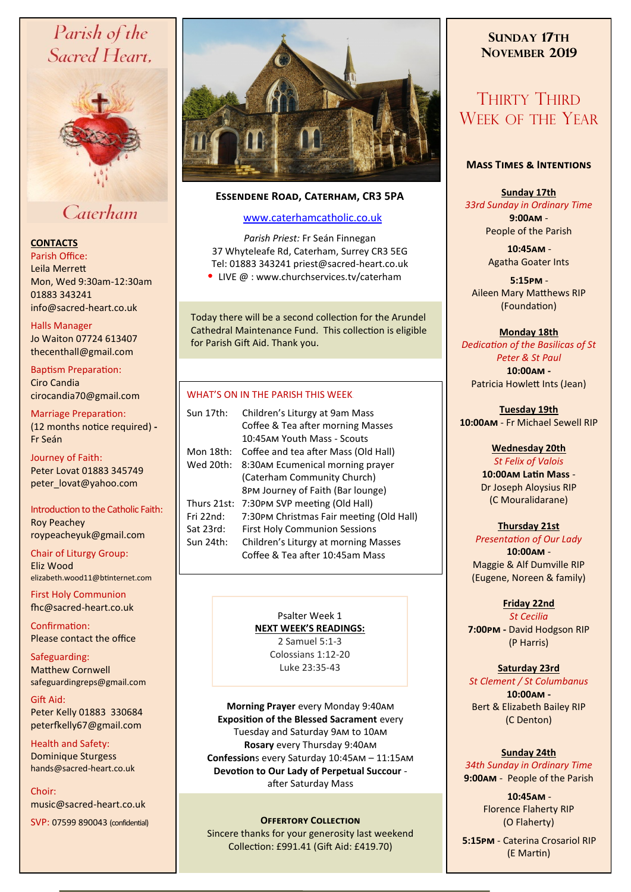# Parish of the Sacred Heart,



# Caterham

## **CONTACTS**

Parish Office: Leila Merrett Mon, Wed 9:30am-12:30am 01883 343241 info@sacred-heart.co.uk .

#### Halls Manager

Jo Waiton 07724 613407 thecenthall@gmail.com

Baptism Preparation: Ciro Candia cirocandia70@gmail.com

Marriage Preparation: (12 months notice required) **-** Fr Seán

#### Journey of Faith:

Peter Lovat 01883 345749 peter\_lovat@yahoo.com

Introduction to the Catholic Faith: Roy Peachey roypeacheyuk@gmail.com

Chair of Liturgy Group: Eliz Wood

elizabeth.wood11@btinternet.com

First Holy Communion fhc@sacred-heart.co.uk

Confirmation: Please contact the office

Safeguarding: Matthew Cornwell safeguardingreps@gmail.com

Gift Aid: Peter Kelly 01883 330684 peterfkelly67@gmail.com

Health and Safety: Dominique Sturgess hands@sacred-heart.co.uk

Choir: music@sacred-heart.co.uk

SVP: 07599 890043 (confidential)



## **Essendene Road, Caterham, CR3 5PA**

# [www.caterhamcatholic.co.uk](http://Www.caterhamcatholic.co.uk)

*Parish Priest:* Fr Seán Finnegan 37 Whyteleafe Rd, Caterham, Surrey CR3 5EG Tel: 01883 343241 priest@sacred-heart.co.uk • LIVE @ : www.churchservices.tv/caterham

Today there will be a second collection for the Arundel Cathedral Maintenance Fund. This collection is eligible for Parish Gift Aid. Thank you.

### WHAT'S ON IN THE PARISH THIS WEEK.

| Sun 17th:   | Children's Liturgy at 9am Mass           |
|-------------|------------------------------------------|
|             | Coffee & Tea after morning Masses        |
|             | 10:45AM Youth Mass - Scouts              |
| Mon 18th:   | Coffee and tea after Mass (Old Hall)     |
| Wed 20th:   | 8:30AM Ecumenical morning prayer         |
|             | (Caterham Community Church)              |
|             | 8PM Journey of Faith (Bar lounge)        |
| Thurs 21st: | 7:30 PM SVP meeting (Old Hall)           |
| Fri 22nd:   | 7:30PM Christmas Fair meeting (Old Hall) |
| Sat 23rd:   | <b>First Holy Communion Sessions</b>     |
| Sun 24th:   | Children's Liturgy at morning Masses     |
|             | Coffee & Tea after 10:45am Mass          |

Psalter Week 1 **NEXT WEEK'S READINGS:**  2 Samuel 5:1-3 Colossians 1:12-20

Luke 23:35-43

**Morning Prayer** every Monday 9:40am **Exposition of the Blessed Sacrament** every Tuesday and Saturday 9am to 10am **Rosary** every Thursday 9:40am **Confession**s every Saturday 10:45am – 11:15am **Devotion to Our Lady of Perpetual Succour**  after Saturday Mass

### **Offertory Collection**

Sincere thanks for your generosity last weekend Collection: £991.41 (Gift Aid: £419.70)

# **SUNDAY 17TH NOVEMBER 2019**

# THIRTY THIRD WEEK OF THE YEAR

#### **Mass Times & Intentions**

#### **Sunday 17th** *33rd Sunday in Ordinary Time* **9:00am** - People of the Parish

.**10:45am** - Agatha Goater Ints

.**5:15pm** - Aileen Mary Matthews RIP (Foundation)

### **Monday 18th**

*Dedication of the Basilicas of St Peter & St Paul* **10:00am -** 

Patricia Howlett Ints (Jean)

#### **Tuesday 19th 10:00am** - Fr Michael Sewell RIP

### **Wednesday 20th**

*St Felix of Valois* **10:00am Latin Mass** - Dr Joseph Aloysius RIP (C Mouralidarane)

# **Thursday 21st**

*Presentation of Our Lady* **10:00am** - Maggie & Alf Dumville RIP (Eugene, Noreen & family)

## **Friday 22nd**

*St Cecilia* **7:00pm -** David Hodgson RIP (P Harris)

### **Saturday 23rd**

*St Clement / St Columbanus* **10:00am -**  Bert & Elizabeth Bailey RIP (C Denton)

## **Sunday 24th**

*34th Sunday in Ordinary Time* **9:00am** - People of the Parish

> .**10:45am** - Florence Flaherty RIP (O Flaherty)

.**5:15pm** - Caterina Crosariol RIP (E Martin)